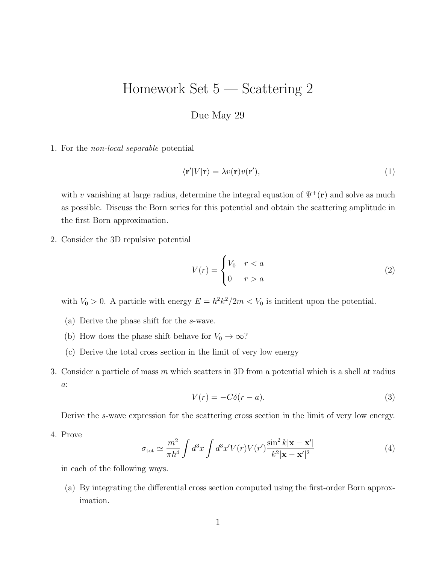## Homework Set 5 — Scattering 2

## Due May 29

1. For the non-local separable potential

$$
\langle \mathbf{r}' | V | \mathbf{r} \rangle = \lambda v(\mathbf{r}) v(\mathbf{r}'), \tag{1}
$$

with v vanishing at large radius, determine the integral equation of  $\Psi^+(\mathbf{r})$  and solve as much as possible. Discuss the Born series for this potential and obtain the scattering amplitude in the first Born approximation.

2. Consider the 3D repulsive potential

$$
V(r) = \begin{cases} V_0 & r < a \\ 0 & r > a \end{cases} \tag{2}
$$

with  $V_0 > 0$ . A particle with energy  $E = \hbar^2 k^2 / 2m < V_0$  is incident upon the potential.

- (a) Derive the phase shift for the s-wave.
- (b) How does the phase shift behave for  $V_0 \to \infty$ ?
- (c) Derive the total cross section in the limit of very low energy
- 3. Consider a particle of mass m which scatters in 3D from a potential which is a shell at radius a:

$$
V(r) = -C\delta(r - a). \tag{3}
$$

Derive the s-wave expression for the scattering cross section in the limit of very low energy.

4. Prove

$$
\sigma_{\text{tot}} \simeq \frac{m^2}{\pi \hbar^4} \int d^3 x \int d^3 x' V(r) V(r') \frac{\sin^2 k |\mathbf{x} - \mathbf{x}'|}{k^2 |\mathbf{x} - \mathbf{x}'|^2}
$$
(4)

in each of the following ways.

(a) By integrating the differential cross section computed using the first-order Born approximation.